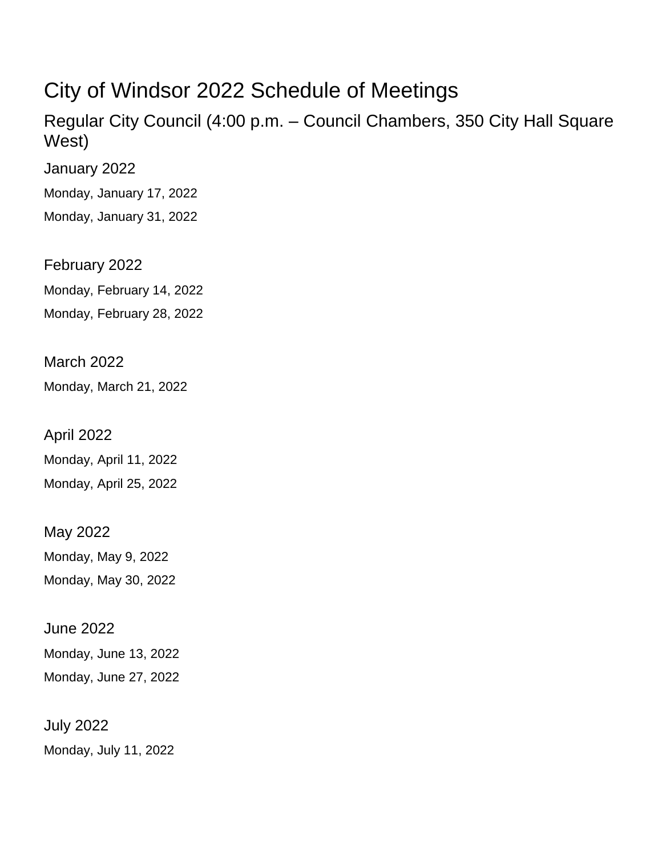## City of Windsor 2022 Schedule of Meetings

Regular City Council (4:00 p.m. – Council Chambers, 350 City Hall Square West)

January 2022

Monday, January 17, 2022

Monday, January 31, 2022

February 2022 Monday, February 14, 2022 Monday, February 28, 2022

March 2022 Monday, March 21, 2022

April 2022 Monday, April 11, 2022 Monday, April 25, 2022

May 2022 Monday, May 9, 2022 Monday, May 30, 2022

June 2022 Monday, June 13, 2022 Monday, June 27, 2022

July 2022 Monday, July 11, 2022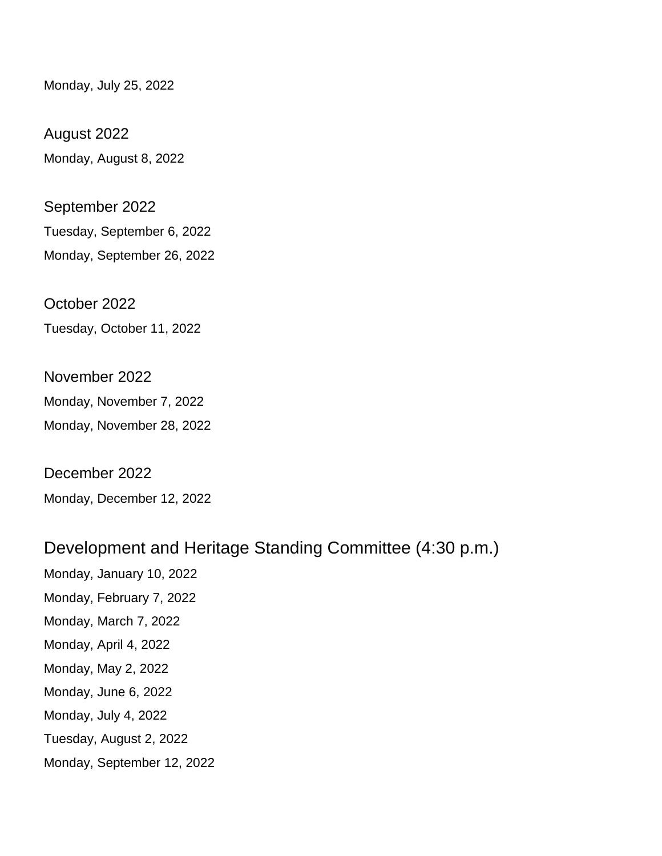Monday, July 25, 2022

August 2022 Monday, August 8, 2022

September 2022 Tuesday, September 6, 2022 Monday, September 26, 2022

October 2022 Tuesday, October 11, 2022

November 2022 Monday, November 7, 2022 Monday, November 28, 2022

December 2022 Monday, December 12, 2022

## Development and Heritage Standing Committee (4:30 p.m.)

Monday, January 10, 2022 Monday, February 7, 2022 Monday, March 7, 2022 Monday, April 4, 2022 Monday, May 2, 2022 Monday, June 6, 2022 Monday, July 4, 2022 Tuesday, August 2, 2022 Monday, September 12, 2022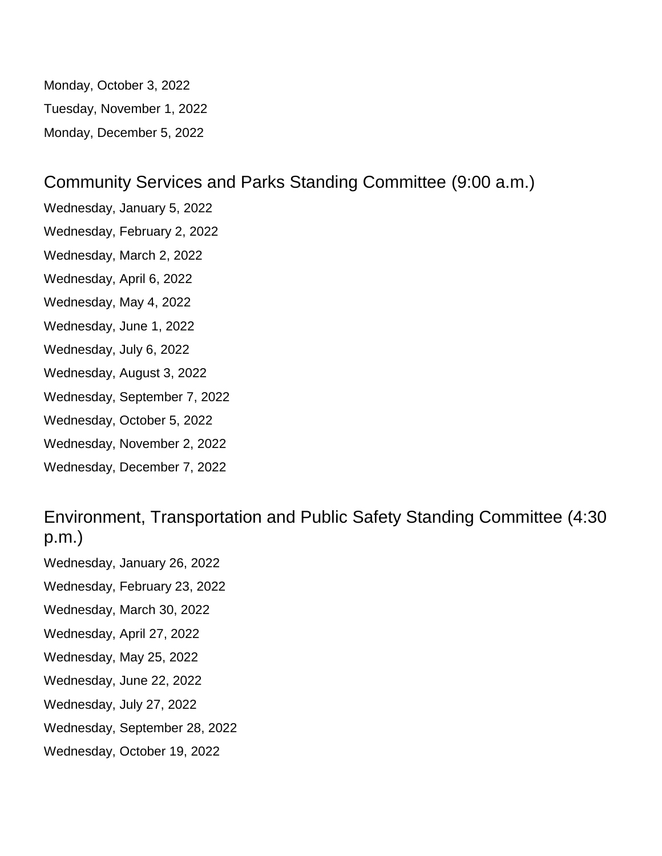Monday, October 3, 2022 Tuesday, November 1, 2022 Monday, December 5, 2022

## Community Services and Parks Standing Committee (9:00 a.m.)

Wednesday, January 5, 2022 Wednesday, February 2, 2022 Wednesday, March 2, 2022 Wednesday, April 6, 2022 Wednesday, May 4, 2022 Wednesday, June 1, 2022 Wednesday, July 6, 2022 Wednesday, August 3, 2022 Wednesday, September 7, 2022 Wednesday, October 5, 2022 Wednesday, November 2, 2022 Wednesday, December 7, 2022

Environment, Transportation and Public Safety Standing Committee (4:30 p.m.)

Wednesday, January 26, 2022

Wednesday, February 23, 2022

Wednesday, March 30, 2022

Wednesday, April 27, 2022

- Wednesday, May 25, 2022
- Wednesday, June 22, 2022
- Wednesday, July 27, 2022
- Wednesday, September 28, 2022
- Wednesday, October 19, 2022